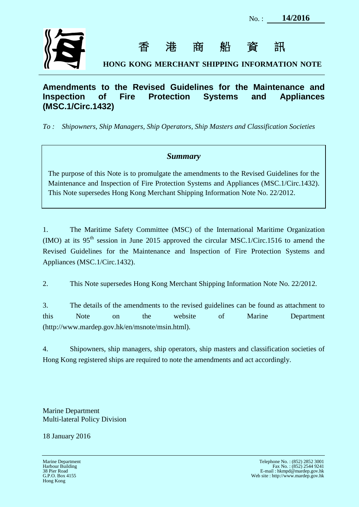

香港商船資訊

**HONG KONG MERCHANT SHIPPING INFORMATION NOTE**

# **Amendments to the Revised Guidelines for the Maintenance and Inspection of Fire Protection Systems and Appliances (MSC.1/Circ.1432)**

*To : Shipowners, Ship Managers, Ship Operators, Ship Masters and Classification Societies*

# *Summary*

The purpose of this Note is to promulgate the amendments to the Revised Guidelines for the Maintenance and Inspection of Fire Protection Systems and Appliances (MSC.1/Circ.1432). This Note supersedes Hong Kong Merchant Shipping Information Note No. 22/2012.

1. The Maritime Safety Committee (MSC) of the International Maritime Organization (IMO) at its  $95<sup>th</sup>$  session in June 2015 approved the circular MSC.1/Circ.1516 to amend the Revised Guidelines for the Maintenance and Inspection of Fire Protection Systems and Appliances (MSC.1/Circ.1432).

2. This Note supersedes Hong Kong Merchant Shipping Information Note No. 22/2012.

3. The details of the amendments to the revised guidelines can be found as attachment to this Note on the website of Marine Department (http://www.mardep.gov.hk/en/msnote/msin.html).

4. Shipowners, ship managers, ship operators, ship masters and classification societies of Hong Kong registered ships are required to note the amendments and act accordingly.

Marine Department Multi-lateral Policy Division

18 January 2016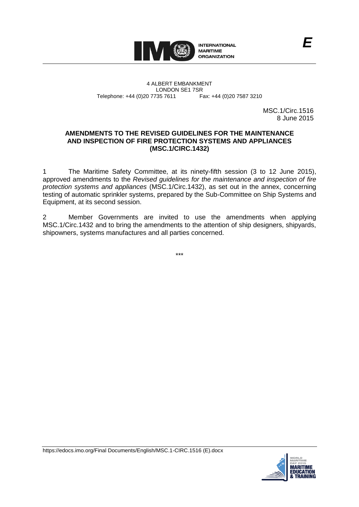

4 ALBERT EMBANKMENT Telephone: +44 (0)20 7735 7611

LONDON SE1 7SR<br>735 7611 Fax: +44 (0)20 7587 3210

MSC.1/Circ.1516 8 June 2015

*E*

## **AMENDMENTS TO THE REVISED GUIDELINES FOR THE MAINTENANCE AND INSPECTION OF FIRE PROTECTION SYSTEMS AND APPLIANCES (MSC.1/CIRC.1432)**

1 The Maritime Safety Committee, at its ninety-fifth session (3 to 12 June 2015), approved amendments to the *Revised guidelines for the maintenance and inspection of fire protection systems and appliances* (MSC.1/Circ.1432), as set out in the annex, concerning testing of automatic sprinkler systems, prepared by the Sub-Committee on Ship Systems and Equipment, at its second session.

2 Member Governments are invited to use the amendments when applying MSC.1/Circ.1432 and to bring the amendments to the attention of ship designers, shipyards, shipowners, systems manufactures and all parties concerned.

\*\*\*



https://edocs.imo.org/Final Documents/English/MSC.1-CIRC.1516 (E).docx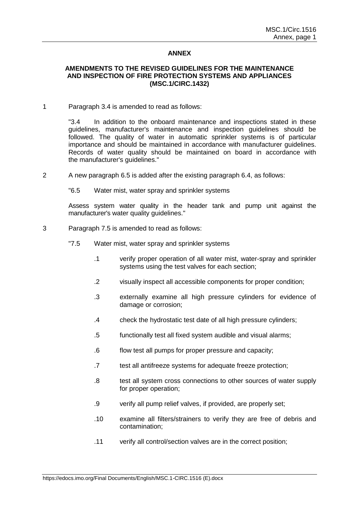### **ANNEX**

## **AMENDMENTS TO THE REVISED GUIDELINES FOR THE MAINTENANCE AND INSPECTION OF FIRE PROTECTION SYSTEMS AND APPLIANCES (MSC.1/CIRC.1432)**

#### 1 Paragraph 3.4 is amended to read as follows:

"3.4 In addition to the onboard maintenance and inspections stated in these guidelines, manufacturer's maintenance and inspection guidelines should be followed. The quality of water in automatic sprinkler systems is of particular importance and should be maintained in accordance with manufacturer guidelines. Records of water quality should be maintained on board in accordance with the manufacturer's guidelines."

2 A new paragraph 6.5 is added after the existing paragraph 6.4, as follows:

"6.5 Water mist, water spray and sprinkler systems

Assess system water quality in the header tank and pump unit against the manufacturer's water quality guidelines."

### 3 Paragraph 7.5 is amended to read as follows:

- "7.5 Water mist, water spray and sprinkler systems
	- .1 verify proper operation of all water mist, water-spray and sprinkler systems using the test valves for each section;
	- .2 visually inspect all accessible components for proper condition;
	- .3 externally examine all high pressure cylinders for evidence of damage or corrosion;
	- .4 check the hydrostatic test date of all high pressure cylinders;
	- .5 functionally test all fixed system audible and visual alarms;
	- .6 flow test all pumps for proper pressure and capacity;
	- .7 test all antifreeze systems for adequate freeze protection;
	- .8 test all system cross connections to other sources of water supply for proper operation;
	- .9 verify all pump relief valves, if provided, are properly set;
	- .10 examine all filters/strainers to verify they are free of debris and contamination;
	- .11 verify all control/section valves are in the correct position;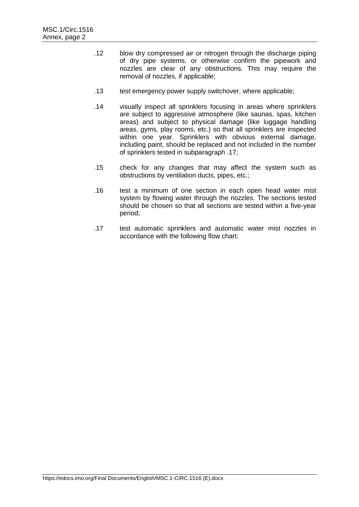- .12 blow dry compressed air or nitrogen through the discharge piping of dry pipe systems, or otherwise confirm the pipework and nozzles are clear of any obstructions. This may require the removal of nozzles, if applicable;
- .13 test emergency power supply switchover, where applicable;
- .14 visually inspect all sprinklers focusing in areas where sprinklers are subject to aggressive atmosphere (like saunas, spas, kitchen areas) and subject to physical damage (like luggage handling areas, gyms, play rooms, etc.) so that all sprinklers are inspected within one year. Sprinklers with obvious external damage, including paint, should be replaced and not included in the number of sprinklers tested in subparagraph .17;
- .15 check for any changes that may affect the system such as obstructions by ventilation ducts, pipes, etc.;
- .16 test a minimum of one section in each open head water mist system by flowing water through the nozzles. The sections tested should be chosen so that all sections are tested within a five-year period;
- .17 test automatic sprinklers and automatic water mist nozzles in accordance with the following flow chart: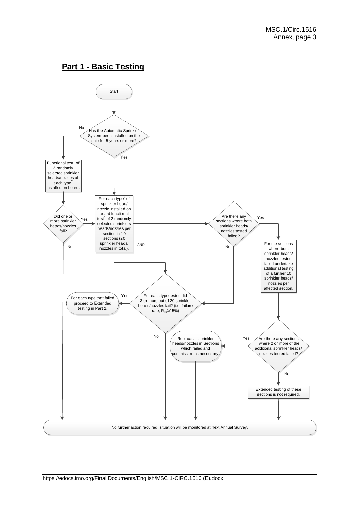# **Part 1 - Basic Testing**

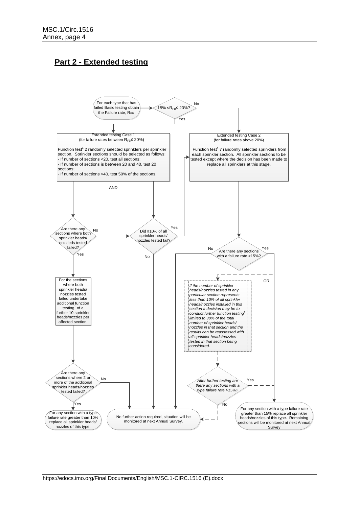# **Part 2 - Extended testing**